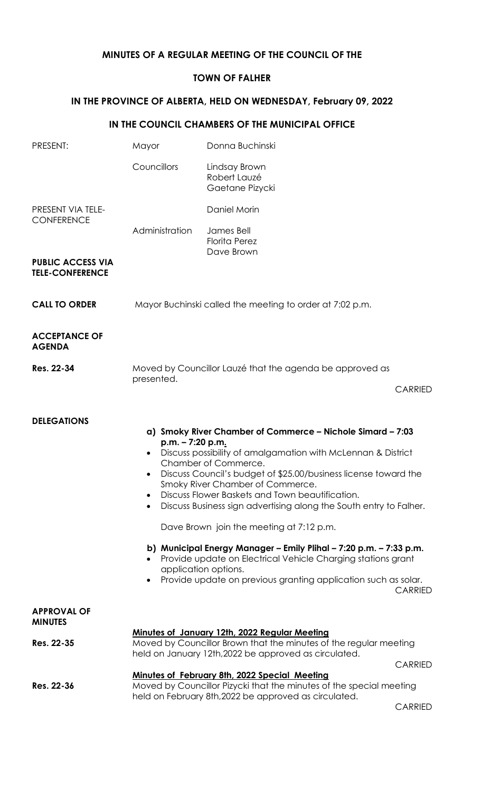## **MINUTES OF A REGULAR MEETING OF THE COUNCIL OF THE**

## **TOWN OF FALHER**

## **IN THE PROVINCE OF ALBERTA, HELD ON WEDNESDAY, February 09, 2022**

## **IN THE COUNCIL CHAMBERS OF THE MUNICIPAL OFFICE**

| PRESENT:                                           | Mayor                                                                                                                                                                       | Donna Buchinski                                                                                                                                                                                                                                                                                                                                                                                                                                                                                                                                                                                                                                                |                |  |
|----------------------------------------------------|-----------------------------------------------------------------------------------------------------------------------------------------------------------------------------|----------------------------------------------------------------------------------------------------------------------------------------------------------------------------------------------------------------------------------------------------------------------------------------------------------------------------------------------------------------------------------------------------------------------------------------------------------------------------------------------------------------------------------------------------------------------------------------------------------------------------------------------------------------|----------------|--|
|                                                    | Councillors                                                                                                                                                                 | Lindsay Brown<br>Robert Lauzé<br>Gaetane Pizycki                                                                                                                                                                                                                                                                                                                                                                                                                                                                                                                                                                                                               |                |  |
| PRESENT VIA TELE-<br><b>CONFERENCE</b>             |                                                                                                                                                                             | Daniel Morin                                                                                                                                                                                                                                                                                                                                                                                                                                                                                                                                                                                                                                                   |                |  |
|                                                    | Administration                                                                                                                                                              | James Bell<br><b>Florita Perez</b><br>Dave Brown                                                                                                                                                                                                                                                                                                                                                                                                                                                                                                                                                                                                               |                |  |
| <b>PUBLIC ACCESS VIA</b><br><b>TELE-CONFERENCE</b> |                                                                                                                                                                             |                                                                                                                                                                                                                                                                                                                                                                                                                                                                                                                                                                                                                                                                |                |  |
| <b>CALL TO ORDER</b>                               | Mayor Buchinski called the meeting to order at 7:02 p.m.                                                                                                                    |                                                                                                                                                                                                                                                                                                                                                                                                                                                                                                                                                                                                                                                                |                |  |
| <b>ACCEPTANCE OF</b><br><b>AGENDA</b>              |                                                                                                                                                                             |                                                                                                                                                                                                                                                                                                                                                                                                                                                                                                                                                                                                                                                                |                |  |
| Res. 22-34                                         | Moved by Councillor Lauzé that the agenda be approved as<br>presented.                                                                                                      |                                                                                                                                                                                                                                                                                                                                                                                                                                                                                                                                                                                                                                                                |                |  |
|                                                    |                                                                                                                                                                             |                                                                                                                                                                                                                                                                                                                                                                                                                                                                                                                                                                                                                                                                | <b>CARRIED</b> |  |
| <b>DELEGATIONS</b>                                 | p.m. - 7:20 p.m.                                                                                                                                                            | a) Smoky River Chamber of Commerce - Nichole Simard - 7:03<br>Discuss possibility of amalgamation with McLennan & District<br>Chamber of Commerce.<br>Discuss Council's budget of \$25.00/business license toward the<br>Smoky River Chamber of Commerce.<br>Discuss Flower Baskets and Town beautification.<br>Discuss Business sign advertising along the South entry to Falher.<br>Dave Brown join the meeting at 7:12 p.m.<br>b) Municipal Energy Manager - Emily Plihal - 7:20 p.m. - 7:33 p.m.<br>Provide update on Electrical Vehicle Charging stations grant<br>application options.<br>Provide update on previous granting application such as solar. | <b>CARRIED</b> |  |
| <b>APPROVAL OF</b><br><b>MINUTES</b>               |                                                                                                                                                                             |                                                                                                                                                                                                                                                                                                                                                                                                                                                                                                                                                                                                                                                                |                |  |
| Res. 22-35                                         | Minutes of January 12th, 2022 Regular Meeting<br>Moved by Councillor Brown that the minutes of the regular meeting<br>held on January 12th, 2022 be approved as circulated. |                                                                                                                                                                                                                                                                                                                                                                                                                                                                                                                                                                                                                                                                |                |  |
|                                                    |                                                                                                                                                                             | Minutes of February 8th, 2022 Special Meeting                                                                                                                                                                                                                                                                                                                                                                                                                                                                                                                                                                                                                  | <b>CARRIED</b> |  |
| Res. 22-36                                         |                                                                                                                                                                             | Moved by Councillor Pizycki that the minutes of the special meeting<br>held on February 8th, 2022 be approved as circulated.                                                                                                                                                                                                                                                                                                                                                                                                                                                                                                                                   |                |  |
|                                                    |                                                                                                                                                                             |                                                                                                                                                                                                                                                                                                                                                                                                                                                                                                                                                                                                                                                                |                |  |

CARRIED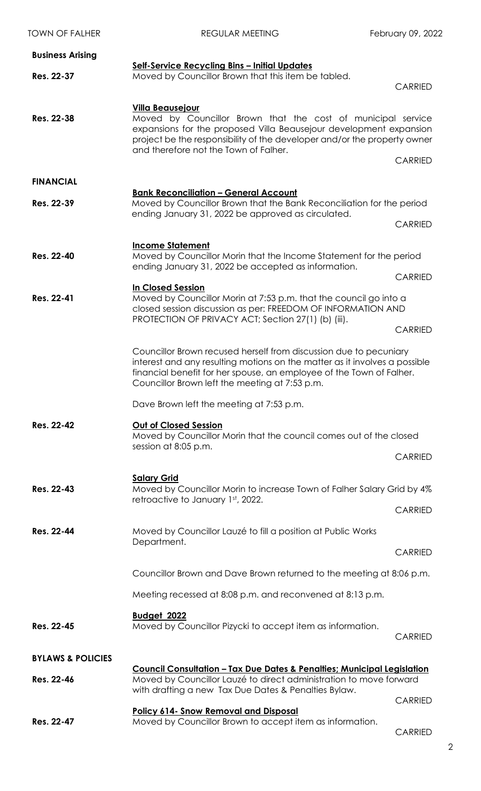| <b>TOWN OF FALHER</b>        | <b>REGULAR MEETING</b>                                                                                                                                                                                                                                                             | February 09, 2022 |  |
|------------------------------|------------------------------------------------------------------------------------------------------------------------------------------------------------------------------------------------------------------------------------------------------------------------------------|-------------------|--|
| <b>Business Arising</b>      |                                                                                                                                                                                                                                                                                    |                   |  |
| Res. 22-37                   | Self-Service Recycling Bins - Initial Updates<br>Moved by Councillor Brown that this item be tabled.                                                                                                                                                                               |                   |  |
|                              |                                                                                                                                                                                                                                                                                    | <b>CARRIED</b>    |  |
| Res. 22-38                   | <b>Villa Beausejour</b><br>Moved by Councillor Brown that the cost of municipal service<br>expansions for the proposed Villa Beausejour development expansion<br>project be the responsibility of the developer and/or the property owner<br>and therefore not the Town of Falher. |                   |  |
|                              |                                                                                                                                                                                                                                                                                    | <b>CARRIED</b>    |  |
| <b>FINANCIAL</b>             |                                                                                                                                                                                                                                                                                    |                   |  |
| Res. 22-39                   | <b>Bank Reconciliation - General Account</b><br>Moved by Councillor Brown that the Bank Reconciliation for the period<br>ending January 31, 2022 be approved as circulated.                                                                                                        |                   |  |
|                              |                                                                                                                                                                                                                                                                                    | <b>CARRIED</b>    |  |
| Res. 22-40                   | <b>Income Statement</b><br>Moved by Councillor Morin that the Income Statement for the period<br>ending January 31, 2022 be accepted as information.                                                                                                                               |                   |  |
|                              |                                                                                                                                                                                                                                                                                    | <b>CARRIED</b>    |  |
| Res. 22-41                   | <b>In Closed Session</b><br>Moved by Councillor Morin at 7:53 p.m. that the council go into a<br>closed session discussion as per: FREEDOM OF INFORMATION AND                                                                                                                      |                   |  |
|                              | PROTECTION OF PRIVACY ACT; Section 27(1) (b) (iii).                                                                                                                                                                                                                                | <b>CARRIED</b>    |  |
|                              | Councillor Brown recused herself from discussion due to pecuniary<br>interest and any resulting motions on the matter as it involves a possible<br>financial benefit for her spouse, an employee of the Town of Falher.<br>Councillor Brown left the meeting at 7:53 p.m.          |                   |  |
|                              | Dave Brown left the meeting at 7:53 p.m.                                                                                                                                                                                                                                           |                   |  |
| Res. 22-42                   | <b>Out of Closed Session</b><br>Moved by Councillor Morin that the council comes out of the closed<br>session at 8:05 p.m.                                                                                                                                                         |                   |  |
|                              |                                                                                                                                                                                                                                                                                    | <b>CARRIED</b>    |  |
| Res. 22-43                   | <b>Salary Grid</b><br>Moved by Councillor Morin to increase Town of Falher Salary Grid by 4%<br>retroactive to January 1st, 2022.                                                                                                                                                  |                   |  |
|                              |                                                                                                                                                                                                                                                                                    | <b>CARRIED</b>    |  |
| Res. 22-44                   | Moved by Councillor Lauzé to fill a position at Public Works<br>Department.                                                                                                                                                                                                        |                   |  |
|                              |                                                                                                                                                                                                                                                                                    | <b>CARRIED</b>    |  |
|                              | Councillor Brown and Dave Brown returned to the meeting at 8:06 p.m.                                                                                                                                                                                                               |                   |  |
|                              | Meeting recessed at 8:08 p.m. and reconvened at 8:13 p.m.                                                                                                                                                                                                                          |                   |  |
| Res. 22-45                   | <b>Budget 2022</b><br>Moved by Councillor Pizycki to accept item as information.                                                                                                                                                                                                   | <b>CARRIED</b>    |  |
| <b>BYLAWS &amp; POLICIES</b> |                                                                                                                                                                                                                                                                                    |                   |  |
| Res. 22-46                   | <u> Council Consultation – Tax Due Dates &amp; Penalties; Municipal Legislation</u><br>Moved by Councillor Lauzé to direct administration to move forward<br>with drafting a new Tax Due Dates & Penalties Bylaw.                                                                  |                   |  |
|                              |                                                                                                                                                                                                                                                                                    | <b>CARRIED</b>    |  |
| Res. 22-47                   | <b>Policy 614- Snow Removal and Disposal</b><br>Moved by Councillor Brown to accept item as information.                                                                                                                                                                           | CARRIED           |  |

CARRIED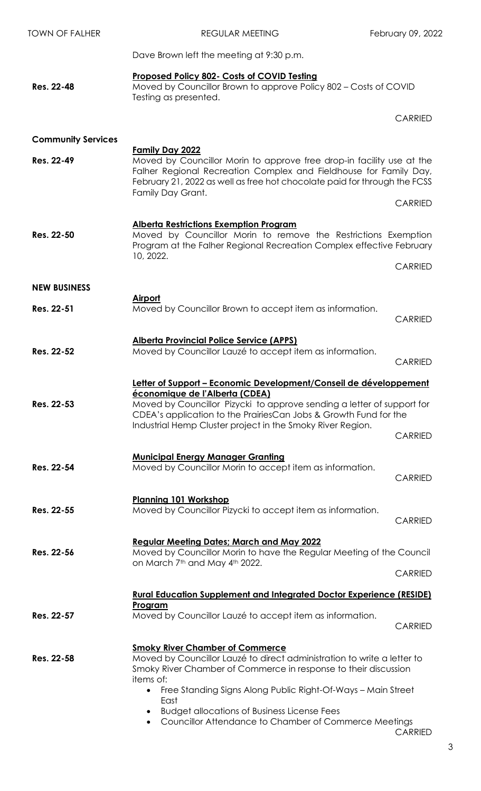| <b>TOWN OF FALHER</b>     | <b>REGULAR MEETING</b>                                                                                                                                                                                                                     | February 09, 2022 |  |
|---------------------------|--------------------------------------------------------------------------------------------------------------------------------------------------------------------------------------------------------------------------------------------|-------------------|--|
|                           | Dave Brown left the meeting at 9:30 p.m.                                                                                                                                                                                                   |                   |  |
| Res. 22-48                | Proposed Policy 802- Costs of COVID Testing<br>Moved by Councillor Brown to approve Policy 802 - Costs of COVID<br>Testing as presented.                                                                                                   |                   |  |
|                           |                                                                                                                                                                                                                                            | <b>CARRIED</b>    |  |
| <b>Community Services</b> | <b>Family Day 2022</b>                                                                                                                                                                                                                     |                   |  |
| Res. 22-49                | Moved by Councillor Morin to approve free drop-in facility use at the<br>Falher Regional Recreation Complex and Fieldhouse for Family Day,<br>February 21, 2022 as well as free hot chocolate paid for through the FCSS                    |                   |  |
|                           | Family Day Grant.                                                                                                                                                                                                                          | <b>CARRIED</b>    |  |
| Res. 22-50                | <b>Alberta Restrictions Exemption Program</b><br>Moved by Councillor Morin to remove the Restrictions Exemption<br>Program at the Falher Regional Recreation Complex effective February<br>10, 2022.                                       |                   |  |
|                           |                                                                                                                                                                                                                                            | <b>CARRIED</b>    |  |
| <b>NEW BUSINESS</b>       | <b>Airport</b>                                                                                                                                                                                                                             |                   |  |
| Res. 22-51                | Moved by Councillor Brown to accept item as information.                                                                                                                                                                                   | <b>CARRIED</b>    |  |
| Res. 22-52                | <b>Alberta Provincial Police Service (APPS)</b><br>Moved by Councillor Lauzé to accept item as information.                                                                                                                                | <b>CARRIED</b>    |  |
|                           | Letter of Support - Economic Development/Conseil de développement                                                                                                                                                                          |                   |  |
| Res. 22-53                | économique de l'Alberta (CDEA)<br>Moved by Councillor Pizycki to approve sending a letter of support for<br>CDEA's application to the PrairiesCan Jobs & Growth Fund for the<br>Industrial Hemp Cluster project in the Smoky River Region. |                   |  |
|                           |                                                                                                                                                                                                                                            | <b>CARRIED</b>    |  |
| Res. 22-54                | <b>Municipal Energy Manager Granting</b><br>Moved by Councillor Morin to accept item as information.                                                                                                                                       | <b>CARRIED</b>    |  |
|                           | <b>Planning 101 Workshop</b>                                                                                                                                                                                                               |                   |  |
| Res. 22-55                | Moved by Councillor Pizycki to accept item as information.                                                                                                                                                                                 | <b>CARRIED</b>    |  |
| Res. 22-56                | <b>Regular Meeting Dates; March and May 2022</b><br>Moved by Councillor Morin to have the Regular Meeting of the Council                                                                                                                   |                   |  |
|                           | on March 7th and May 4th 2022.                                                                                                                                                                                                             | <b>CARRIED</b>    |  |
|                           | <b>Rural Education Supplement and Integrated Doctor Experience (RESIDE)</b>                                                                                                                                                                |                   |  |
| Res. 22-57                | Program<br>Moved by Councillor Lauzé to accept item as information.                                                                                                                                                                        | <b>CARRIED</b>    |  |
| Res. 22-58                | <b>Smoky River Chamber of Commerce</b><br>Moved by Councillor Lauzé to direct administration to write a letter to<br>Smoky River Chamber of Commerce in response to their discussion<br>items of:                                          |                   |  |
|                           | Free Standing Signs Along Public Right-Of-Ways - Main Street<br>East                                                                                                                                                                       |                   |  |
|                           | <b>Budget allocations of Business License Fees</b><br>Councillor Attendance to Chamber of Commerce Meetings<br>$\bullet$                                                                                                                   | $\bigcap$ A DDIEN |  |

CARRIED